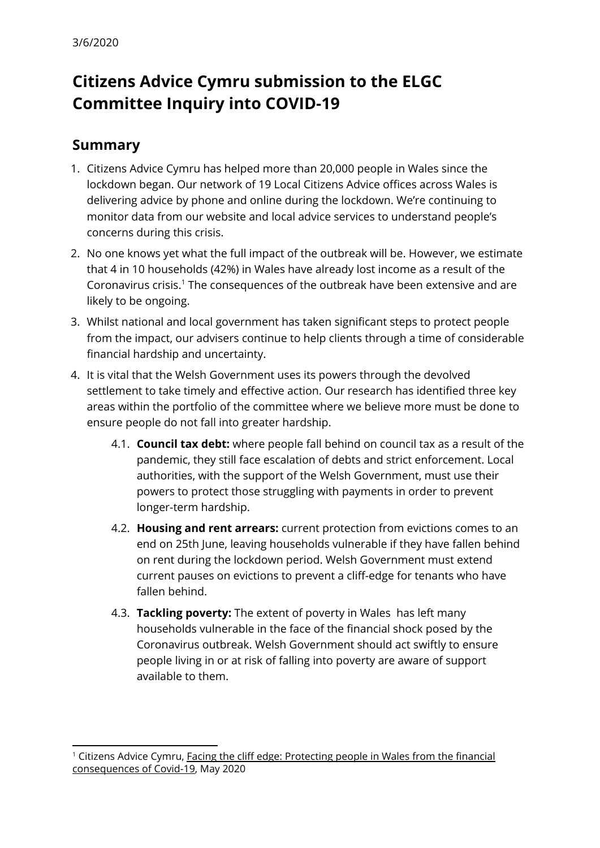# **Citizens Advice Cymru submission to the ELGC Committee Inquiry into COVID-19**

# **Summary**

- 1. Citizens Advice Cymru has helped more than 20,000 people in Wales since the lockdown began. Our network of 19 Local Citizens Advice offices across Wales is delivering advice by phone and online during the lockdown. We're continuing to monitor data from our website and local advice services to understand people's concerns during this crisis.
- 2. No one knows yet what the full impact of the outbreak will be. However, we estimate that 4 in 10 households (42%) in Wales have already lost income as a result of the Coronavirus crisis.<sup>1</sup> The consequences of the outbreak have been extensive and are likely to be ongoing.
- 3. Whilst national and local government has taken significant steps to protect people from the impact, our advisers continue to help clients through a time of considerable financial hardship and uncertainty.
- 4. It is vital that the Welsh Government uses its powers through the devolved settlement to take timely and effective action. Our research has identified three key areas within the portfolio of the committee where we believe more must be done to ensure people do not fall into greater hardship.
	- 4.1. **Council tax debt:** where people fall behind on council tax as a result of the pandemic, they still face escalation of debts and strict enforcement. Local authorities, with the support of the Welsh Government, must use their powers to protect those struggling with payments in order to prevent longer-term hardship.
	- 4.2. **Housing and rent arrears:** current protection from evictions comes to an end on 25th June, leaving households vulnerable if they have fallen behind on rent during the lockdown period. Welsh Government must extend current pauses on evictions to prevent a cliff-edge for tenants who have fallen behind.
	- 4.3. **Tackling poverty:** The extent of poverty in Wales has left many households vulnerable in the face of the financial shock posed by the Coronavirus outbreak. Welsh Government should act swiftly to ensure people living in or at risk of falling into poverty are aware of support available to them.

<sup>&</sup>lt;sup>1</sup> Citizens Advice Cymru, **Facing the cliff edge: [Protecting](https://www.citizensadvice.org.uk/about-us/policy/policy-research-topics/citizens-advice-cymru-wales-policy-research/facing-the-cliff-edge-protecting-people-in-wales-from-the-financial-consequences-of-covid-19/) people in Wales from the financial** [consequences](https://www.citizensadvice.org.uk/about-us/policy/policy-research-topics/citizens-advice-cymru-wales-policy-research/facing-the-cliff-edge-protecting-people-in-wales-from-the-financial-consequences-of-covid-19/) of Covid-19, May 2020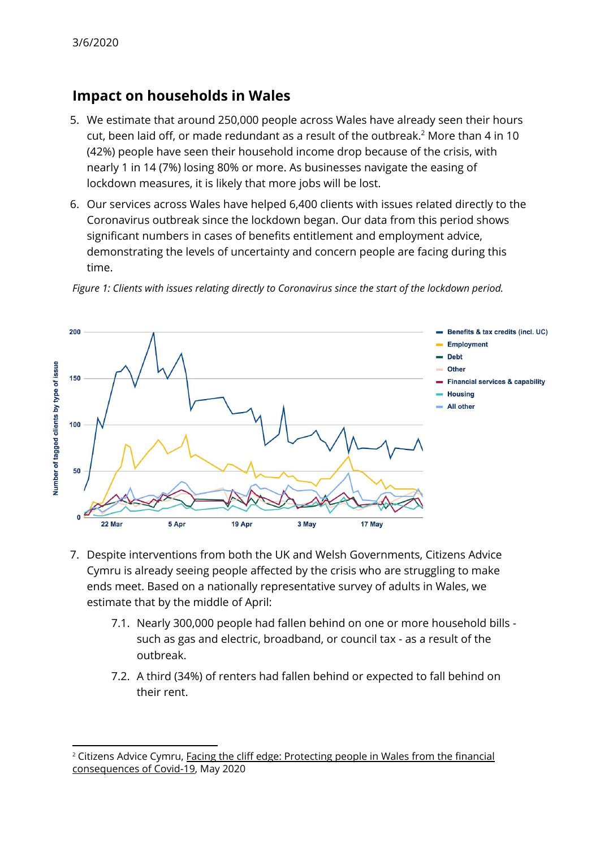## **Impact on households in Wales**

- 5. We estimate that around 250,000 people across Wales have already seen their hours cut, been laid off, or made redundant as a result of the outbreak. $^2$  More than 4 in 10  $\,$ (42%) people have seen their household income drop because of the crisis, with nearly 1 in 14 (7%) losing 80% or more. As businesses navigate the easing of lockdown measures, it is likely that more jobs will be lost.
- 6. Our services across Wales have helped 6,400 clients with issues related directly to the Coronavirus outbreak since the lockdown began. Our data from this period shows significant numbers in cases of benefits entitlement and employment advice, demonstrating the levels of uncertainty and concern people are facing during this time.



*Figure 1: Clients with issues relating directly to Coronavirus since the start of the lockdown period.*

- 7. Despite interventions from both the UK and Welsh Governments, Citizens Advice Cymru is already seeing people affected by the crisis who are struggling to make ends meet. Based on a nationally representative survey of adults in Wales, we estimate that by the middle of April:
	- 7.1. Nearly 300,000 people had fallen behind on one or more household bills such as gas and electric, broadband, or council tax - as a result of the outbreak.
	- 7.2. A third (34%) of renters had fallen behind or expected to fall behind on their rent.

<sup>&</sup>lt;sup>2</sup> Citizens Advice Cymru, <u>Facing the cliff edge: [Protecting](https://www.citizensadvice.org.uk/about-us/policy/policy-research-topics/citizens-advice-cymru-wales-policy-research/facing-the-cliff-edge-protecting-people-in-wales-from-the-financial-consequences-of-covid-19/) people in Wales from the financial</u> [consequences](https://www.citizensadvice.org.uk/about-us/policy/policy-research-topics/citizens-advice-cymru-wales-policy-research/facing-the-cliff-edge-protecting-people-in-wales-from-the-financial-consequences-of-covid-19/) of Covid-19, May 2020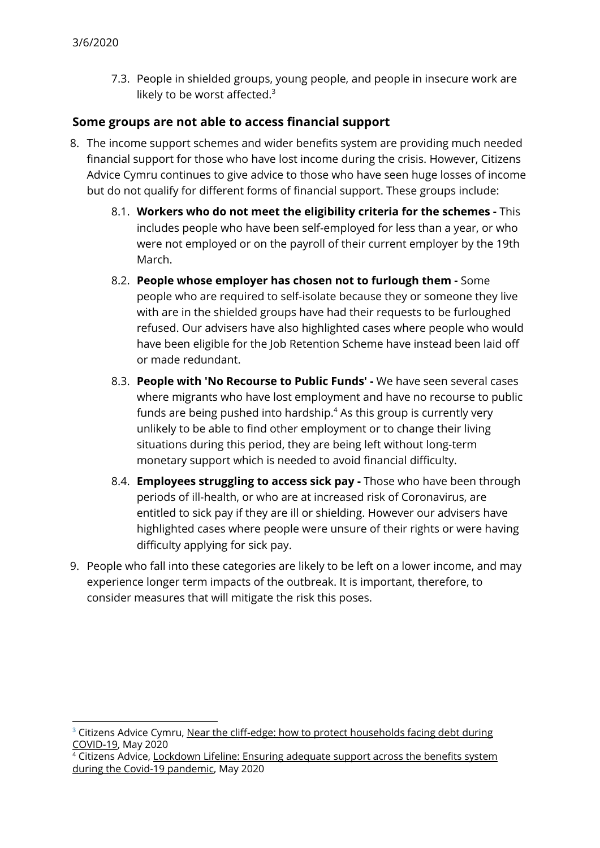7.3. People in shielded groups, young people, and people in insecure work are likely to be worst affected.<sup>3</sup>

#### **Some groups are not able to access financial support**

- 8. The income support schemes and wider benefits system are providing much needed financial support for those who have lost income during the crisis. However, Citizens Advice Cymru continues to give advice to those who have seen huge losses of income but do not qualify for different forms of financial support. These groups include:
	- 8.1. **Workers who do not meet the eligibility criteria for the schemes -** This includes people who have been self-employed for less than a year, or who were not employed or on the payroll of their current employer by the 19th March.
	- 8.2. **People whose employer has chosen not to furlough them -** Some people who are required to self-isolate because they or someone they live with are in the shielded groups have had their requests to be furloughed refused. Our advisers have also highlighted cases where people who would have been eligible for the Job Retention Scheme have instead been laid off or made redundant.
	- 8.3. **People with 'No Recourse to Public Funds' -** We have seen several cases where migrants who have lost employment and have no recourse to public funds are being pushed into hardship. $4$  As this group is currently very unlikely to be able to find other employment or to change their living situations during this period, they are being left without long-term monetary support which is needed to avoid financial difficulty.
	- 8.4. **Employees struggling to access sick pay -** Those who have been through periods of ill-health, or who are at increased risk of Coronavirus, are entitled to sick pay if they are ill or shielding. However our advisers have highlighted cases where people were unsure of their rights or were having difficulty applying for sick pay.
- 9. People who fall into these categories are likely to be left on a lower income, and may experience longer term impacts of the outbreak. It is important, therefore, to consider measures that will mitigate the risk this poses.

 $3$  Citizens Advice Cymru, Near the cliff-edge: how to protect [households](https://www.citizensadvice.org.uk/Global/CitizensAdvice/Debt%20and%20Money%20Publications/FINAL01_05%20-%20Near%20the%20cliff-edge_%20how%20to%20protect%20households%20facing%20debt%20during%20COVID-19.pdf) facing debt during [COVID-19,](https://www.citizensadvice.org.uk/Global/CitizensAdvice/Debt%20and%20Money%20Publications/FINAL01_05%20-%20Near%20the%20cliff-edge_%20how%20to%20protect%20households%20facing%20debt%20during%20COVID-19.pdf) May 2020

<sup>&</sup>lt;sup>4</sup> Citizens Advice, [Lockdown](https://www.citizensadvice.org.uk/Global/CitizensAdvice/Energy/Energy%20Consultation%20responses/Lockdown%20Lifeline%20-%20Ensuring%20adequate%20support%20across%20the%20benefits%20system%20during%20the%20COVID-19%20pandemic%20(May%202020)%20.pdf) Lifeline: Ensuring adequate support across the benefits system during the Covid-19 [pandemic](https://www.citizensadvice.org.uk/Global/CitizensAdvice/Energy/Energy%20Consultation%20responses/Lockdown%20Lifeline%20-%20Ensuring%20adequate%20support%20across%20the%20benefits%20system%20during%20the%20COVID-19%20pandemic%20(May%202020)%20.pdf), May 2020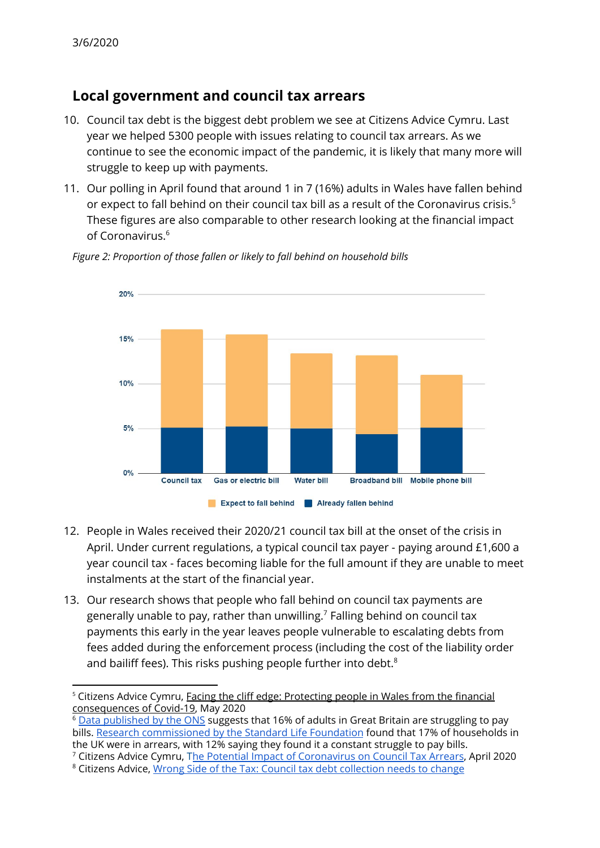# **Local government and council tax arrears**

- 10. Council tax debt is the biggest debt problem we see at Citizens Advice Cymru. Last year we helped 5300 people with issues relating to council tax arrears. As we continue to see the economic impact of the pandemic, it is likely that many more will struggle to keep up with payments.
- 11. Our polling in April found that around 1 in 7 (16%) adults in Wales have fallen behind or expect to fall behind on their council tax bill as a result of the Coronavirus crisis. 5 These figures are also comparable to other research looking at the financial impact of Coronavirus. 6



*Figure 2: Proportion of those fallen or likely to fall behind on household bills*

- 12. People in Wales received their 2020/21 council tax bill at the onset of the crisis in April. Under current regulations, a typical council tax payer - paying around £1,600 a year council tax - faces becoming liable for the full amount if they are unable to meet instalments at the start of the financial year.
- 13. Our research shows that people who fall behind on council tax payments are generally unable to pay, rather than unwilling. $^7$  Falling behind on council tax payments this early in the year leaves people vulnerable to escalating debts from fees added during the enforcement process (including the cost of the liability order and bailiff fees). This risks pushing people further into debt. $8$

<sup>7</sup> Citizens Advice Cymru, The Potential Impact of [Coronavirus](https://www.citizensadvice.org.uk/about-us/policy/policy-research-topics/citizens-advice-cymru-wales-policy-research/the-potential-impact-of-coronavirus-on-council-tax-arrears/) on Council Tax Arrears, April 2020

<sup>&</sup>lt;sup>5</sup> Citizens Advice Cymru, <u>Facing the cliff edge: [Protecting](https://www.citizensadvice.org.uk/about-us/policy/policy-research-topics/citizens-advice-cymru-wales-policy-research/facing-the-cliff-edge-protecting-people-in-wales-from-the-financial-consequences-of-covid-19/) people in Wales from the financial</u> [consequences](https://www.citizensadvice.org.uk/about-us/policy/policy-research-topics/citizens-advice-cymru-wales-policy-research/facing-the-cliff-edge-protecting-people-in-wales-from-the-financial-consequences-of-covid-19/) of Covid-19, May 2020

 $6$  Data [published](https://www.ons.gov.uk/peoplepopulationandcommunity/healthandsocialcare/healthandwellbeing/bulletins/coronavirusandthesocialimpactsongreatbritain/latest) by the ONS suggests that 16% of adults in Great Britain are struggling to pay bills. Research [commissioned](https://www.standardlifefoundation.org.uk/__data/assets/pdf_file/0021/57432/COVID-19-Tracker-April-2020-FINAL.pdf) by the Standard Life Foundation found that 17% of households in the UK were in arrears, with 12% saying they found it a constant struggle to pay bills.

<sup>8</sup> Citizens Advice, Wrong Side of the Tax: Council tax debt [collection](https://www.citizensadvice.org.uk/Global/CitizensAdvice/Consumer%20publications/Wrong%20side%20of%20the%20tax.pdf) needs to change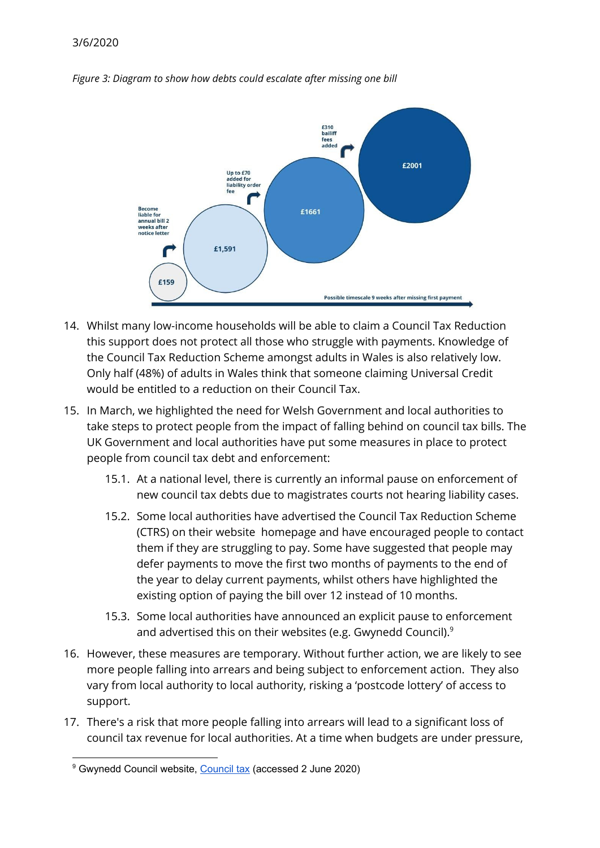

*Figure 3: Diagram to show how debts could escalate after missing one bill*

- 14. Whilst many low-income households will be able to claim a Council Tax Reduction this support does not protect all those who struggle with payments. Knowledge of the Council Tax Reduction Scheme amongst adults in Wales is also relatively low. Only half (48%) of adults in Wales think that someone claiming Universal Credit would be entitled to a reduction on their Council Tax.
- 15. In March, we highlighted the need for Welsh Government and local authorities to take steps to protect people from the impact of falling behind on council tax bills. The UK Government and local authorities have put some measures in place to protect people from council tax debt and enforcement:
	- 15.1. At a national level, there is currently an informal pause on enforcement of new council tax debts due to magistrates courts not hearing liability cases.
	- 15.2. Some local authorities have advertised the Council Tax Reduction Scheme (CTRS) on their website homepage and have encouraged people to contact them if they are struggling to pay. Some have suggested that people may defer payments to move the first two months of payments to the end of the year to delay current payments, whilst others have highlighted the existing option of paying the bill over 12 instead of 10 months.
	- 15.3. Some local authorities have announced an explicit pause to enforcement and advertised this on their websites (e.g. Gwynedd Council). $^9$
- 16. However, these measures are temporary. Without further action, we are likely to see more people falling into arrears and being subject to enforcement action. They also vary from local authority to local authority, risking a 'postcode lottery' of access to support.
- 17. There's a risk that more people falling into arrears will lead to a significant loss of council tax revenue for local authorities. At a time when budgets are under pressure,

<sup>&</sup>lt;sup>9</sup> Gwynedd [Council](https://www.gwynedd.llyw.cymru/en/Residents/Council-tax/Council-tax.aspx) website, Council tax (accessed 2 June 2020)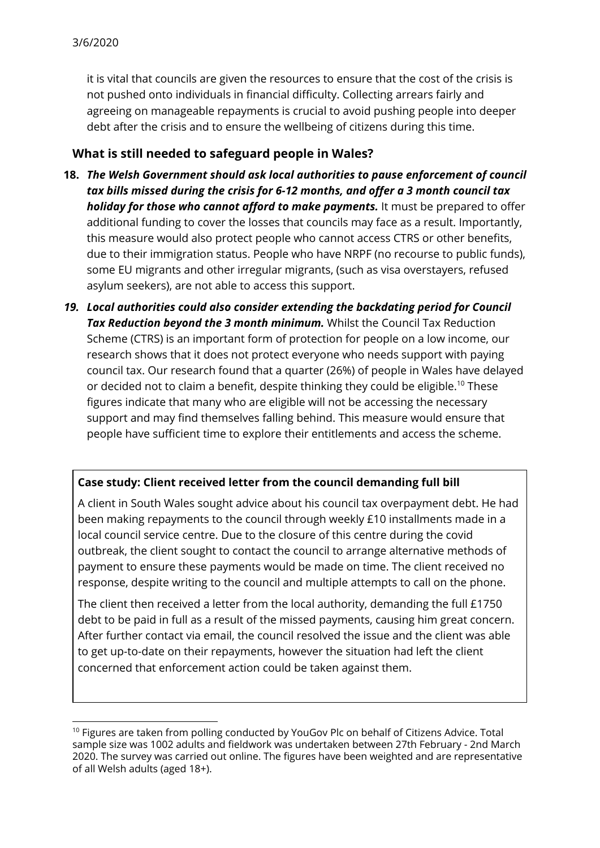it is vital that councils are given the resources to ensure that the cost of the crisis is not pushed onto individuals in financial difficulty. Collecting arrears fairly and agreeing on manageable repayments is crucial to avoid pushing people into deeper debt after the crisis and to ensure the wellbeing of citizens during this time.

### **What is still needed to safeguard people in Wales?**

- **18.** *The Welsh Government should ask local authorities to pause enforcement of council tax bills missed during the crisis for 6-12 months, and offer a 3 month council tax holiday for those who cannot afford to make payments.* It must be prepared to offer additional funding to cover the losses that councils may face as a result. Importantly, this measure would also protect people who cannot access CTRS or other benefits, due to their immigration status. People who have NRPF (no recourse to public funds), some EU migrants and other irregular migrants, (such as visa overstayers, refused asylum seekers), are not able to access this support.
- *19. Local authorities could also consider extending the backdating period for Council Tax Reduction beyond the 3 month minimum.* Whilst the Council Tax Reduction Scheme (CTRS) is an important form of protection for people on a low income, our research shows that it does not protect everyone who needs support with paying council tax. Our research found that a quarter (26%) of people in Wales have delayed or decided not to claim a benefit, despite thinking they could be eligible.<sup>10</sup> These figures indicate that many who are eligible will not be accessing the necessary support and may find themselves falling behind. This measure would ensure that people have sufficient time to explore their entitlements and access the scheme.

#### **Case study: Client received letter from the council demanding full bill**

A client in South Wales sought advice about his council tax overpayment debt. He had been making repayments to the council through weekly £10 installments made in a local council service centre. Due to the closure of this centre during the covid outbreak, the client sought to contact the council to arrange alternative methods of payment to ensure these payments would be made on time. The client received no response, despite writing to the council and multiple attempts to call on the phone.

The client then received a letter from the local authority, demanding the full £1750 debt to be paid in full as a result of the missed payments, causing him great concern. After further contact via email, the council resolved the issue and the client was able to get up-to-date on their repayments, however the situation had left the client concerned that enforcement action could be taken against them.

<sup>&</sup>lt;sup>10</sup> Figures are taken from polling conducted by YouGov Plc on behalf of Citizens Advice. Total sample size was 1002 adults and fieldwork was undertaken between 27th February - 2nd March 2020. The survey was carried out online. The figures have been weighted and are representative of all Welsh adults (aged 18+).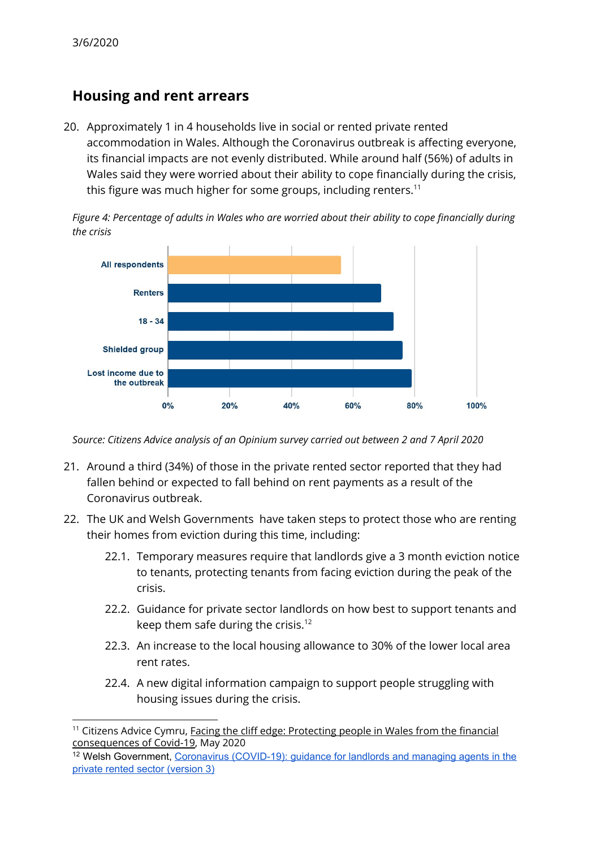### **Housing and rent arrears**

20. Approximately 1 in 4 households live in social or rented private rented accommodation in Wales. Although the Coronavirus outbreak is affecting everyone, its financial impacts are not evenly distributed. While around half (56%) of adults in Wales said they were worried about their ability to cope financially during the crisis, this figure was much higher for some groups, including renters. $^{\rm 11}$ 



*Figure 4: Percentage of adults in Wales who are worried about their ability to cope financially during the crisis*

*Source: Citizens Advice analysis of an Opinium survey carried out between 2 and 7 April 2020*

- 21. Around a third (34%) of those in the private rented sector reported that they had fallen behind or expected to fall behind on rent payments as a result of the Coronavirus outbreak.
- 22. The UK and Welsh Governments have taken steps to protect those who are renting their homes from eviction during this time, including:
	- 22.1. Temporary measures require that landlords give a 3 month eviction notice to tenants, protecting tenants from facing eviction during the peak of the crisis.
	- 22.2. Guidance for private sector landlords on how best to support tenants and keep them safe during the crisis.<sup>12</sup>
	- 22.3. An increase to the local housing allowance to 30% of the lower local area rent rates.
	- 22.4. A new digital information campaign to support people struggling with housing issues during the crisis.

<sup>&</sup>lt;sup>11</sup> Citizens Advice Cymru, Facing the cliff edge: [Protecting](https://www.citizensadvice.org.uk/about-us/policy/policy-research-topics/citizens-advice-cymru-wales-policy-research/facing-the-cliff-edge-protecting-people-in-wales-from-the-financial-consequences-of-covid-19/) people in Wales from the financial [consequences](https://www.citizensadvice.org.uk/about-us/policy/policy-research-topics/citizens-advice-cymru-wales-policy-research/facing-the-cliff-edge-protecting-people-in-wales-from-the-financial-consequences-of-covid-19/) of Covid-19, May 2020

<sup>&</sup>lt;sup>12</sup> Welsh Government, Coronavirus [\(COVID-19\):](https://gov.wales/coronavirus-covid-19-guidance-for-landlords-and-managing-agents-in-the-private-rented-sector-html) quidance for landlords and managing agents in the private rented sector [\(version](https://gov.wales/coronavirus-covid-19-guidance-for-landlords-and-managing-agents-in-the-private-rented-sector-html) 3)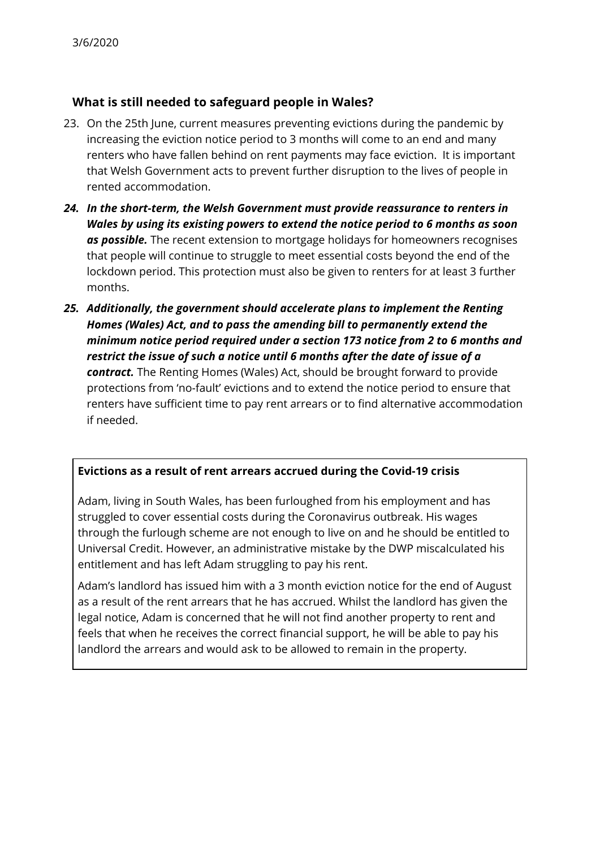### **What is still needed to safeguard people in Wales?**

- 23. On the 25th June, current measures preventing evictions during the pandemic by increasing the eviction notice period to 3 months will come to an end and many renters who have fallen behind on rent payments may face eviction. It is important that Welsh Government acts to prevent further disruption to the lives of people in rented accommodation.
- *24. In the short-term, the Welsh Government must provide reassurance to renters in Wales by using its existing powers to extend the notice period to 6 months as soon as possible.* The recent extension to mortgage holidays for homeowners recognises that people will continue to struggle to meet essential costs beyond the end of the lockdown period. This protection must also be given to renters for at least 3 further months.
- *25. Additionally, the government should accelerate plans to implement the Renting Homes (Wales) Act, and to pass the amending bill to permanently extend the minimum notice period required under a section 173 notice from 2 to 6 months and restrict the issue of such a notice until 6 months after the date of issue of a contract.* The Renting Homes (Wales) Act, should be brought forward to provide protections from 'no-fault' evictions and to extend the notice period to ensure that renters have sufficient time to pay rent arrears or to find alternative accommodation if needed.

#### **Evictions as a result of rent arrears accrued during the Covid-19 crisis**

Adam, living in South Wales, has been furloughed from his employment and has struggled to cover essential costs during the Coronavirus outbreak. His wages through the furlough scheme are not enough to live on and he should be entitled to Universal Credit. However, an administrative mistake by the DWP miscalculated his entitlement and has left Adam struggling to pay his rent.

Adam's landlord has issued him with a 3 month eviction notice for the end of August as a result of the rent arrears that he has accrued. Whilst the landlord has given the legal notice, Adam is concerned that he will not find another property to rent and feels that when he receives the correct financial support, he will be able to pay his landlord the arrears and would ask to be allowed to remain in the property.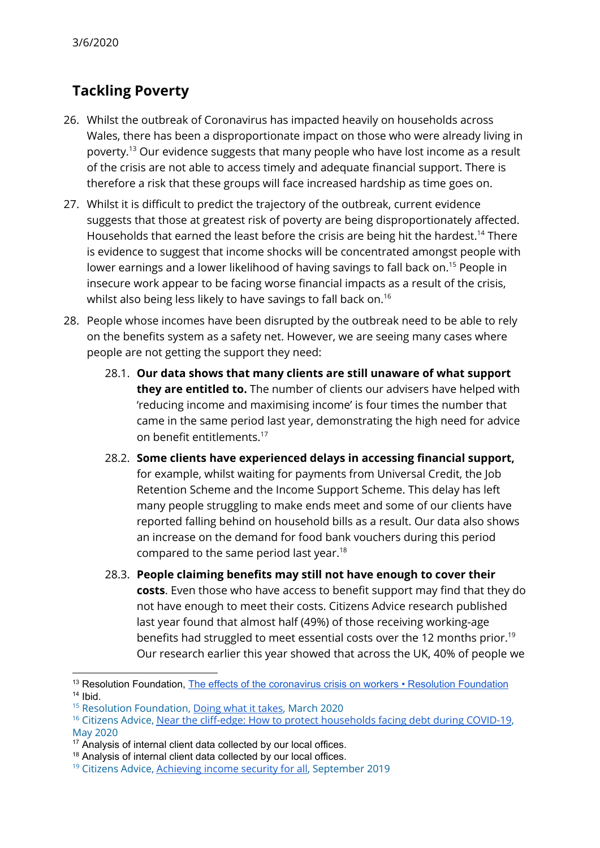# **Tackling Poverty**

- 26. Whilst the outbreak of Coronavirus has impacted heavily on households across Wales, there has been a disproportionate impact on those who were already living in poverty.<sup>13</sup> Our evidence suggests that many people who have lost income as a result of the crisis are not able to access timely and adequate financial support. There is therefore a risk that these groups will face increased hardship as time goes on.
- 27. Whilst it is difficult to predict the trajectory of the outbreak, current evidence suggests that those at greatest risk of poverty are being disproportionately affected. Households that earned the least before the crisis are being hit the hardest.<sup>14</sup> There is evidence to suggest that income shocks will be concentrated amongst people with lower earnings and a lower likelihood of having savings to fall back on.<sup>15</sup> People in insecure work appear to be facing worse financial impacts as a result of the crisis, whilst also being less likely to have savings to fall back on. $^{16}$
- 28. People whose incomes have been disrupted by the outbreak need to be able to rely on the benefits system as a safety net. However, we are seeing many cases where people are not getting the support they need:
	- 28.1. **Our data shows that many clients are still unaware of what support they are entitled to.** The number of clients our advisers have helped with 'reducing income and maximising income' is four times the number that came in the same period last year, demonstrating the high need for advice on benefit entitlements. 17
	- 28.2. **Some clients have experienced delays in accessing financial support,** for example, whilst waiting for payments from Universal Credit, the Job Retention Scheme and the Income Support Scheme. This delay has left many people struggling to make ends meet and some of our clients have reported falling behind on household bills as a result. Our data also shows an increase on the demand for food bank vouchers during this period compared to the same period last year. 18
	- 28.3. **People claiming benefits may still not have enough to cover their costs**. Even those who have access to benefit support may find that they do not have enough to meet their costs. Citizens Advice research published last year found that almost half (49%) of those receiving working-age benefits had struggled to meet essential costs over the 12 months prior. 19 Our research earlier this year showed that across the UK, 40% of people we

<sup>&</sup>lt;sup>13</sup> Resolution Foundation, The effects of the [coronavirus](https://www.resolutionfoundation.org/publications/the-effects-of-the-coronavirus-crisis-on-workers/) crisis on workers • Resolution Foundation  $14$  Ibid.

<sup>&</sup>lt;sup>15</sup> Resolution Foundation, [Doing](https://www.resolutionfoundation.org/app/uploads/2020/03/Doing-what-it-takes.pdf) what it takes, March 2020

<sup>&</sup>lt;sup>16</sup> Citizens Advice, Near the cliff-edge: How to protect [households](https://www.citizensadvice.org.uk/Global/CitizensAdvice/Debt%20and%20Money%20Publications/FINAL01_05%20-%20Near%20the%20cliff-edge_%20how%20to%20protect%20households%20facing%20debt%20during%20COVID-19.pdf) facing debt during COVID-19, May 2020

 $17$  Analysis of internal client data collected by our local offices.

<sup>&</sup>lt;sup>18</sup> Analysis of internal client data collected by our local offices.

<sup>&</sup>lt;sup>19</sup> Citizens Advice, [Achieving](https://www.citizensadvice.org.uk/Global/CitizensAdvice/welfare%20publications/Achieving%20income%20security%20for%20all%20(FINAL).pdf) income security for all, September 2019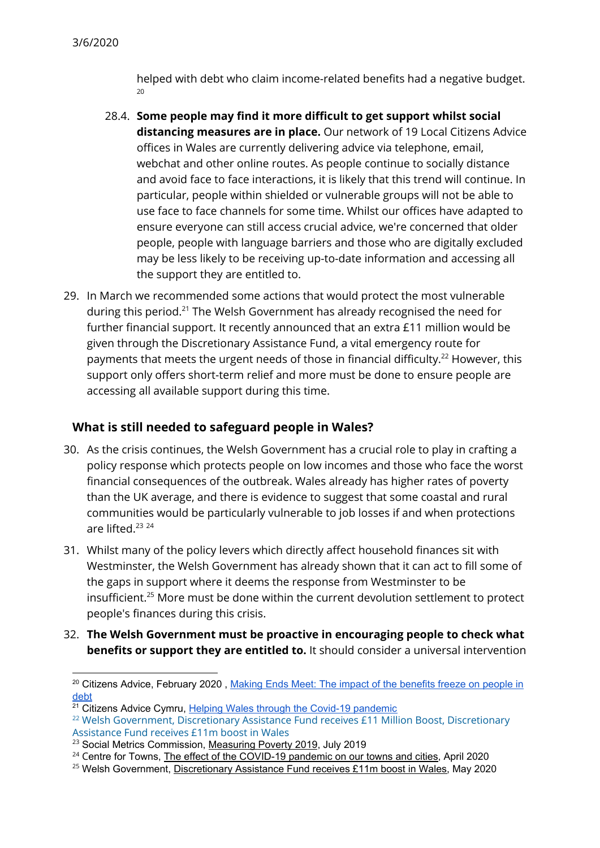helped with debt who claim income-related benefits had a negative budget. 20

- 28.4. **Some people may find it more difficult to get support whilst social distancing measures are in place.** Our network of 19 Local Citizens Advice offices in Wales are currently delivering advice via telephone, email, webchat and other online routes. As people continue to socially distance and avoid face to face interactions, it is likely that this trend will continue. In particular, people within shielded or vulnerable groups will not be able to use face to face channels for some time. Whilst our offices have adapted to ensure everyone can still access crucial advice, we're concerned that older people, people with language barriers and those who are digitally excluded may be less likely to be receiving up-to-date information and accessing all the support they are entitled to.
- 29. In March we recommended some actions that would protect the most vulnerable during this period. $^{21}$  The Welsh Government has already recognised the need for further financial support. It recently announced that an extra £11 million would be given through the Discretionary Assistance Fund, a vital emergency route for payments that meets the urgent needs of those in financial difficulty. $^{22}$  However, this support only offers short-term relief and more must be done to ensure people are accessing all available support during this time.

#### **What is still needed to safeguard people in Wales?**

- 30. As the crisis continues, the Welsh Government has a crucial role to play in crafting a policy response which protects people on low incomes and those who face the worst financial consequences of the outbreak. Wales already has higher rates of poverty than the UK average, and there is evidence to suggest that some coastal and rural communities would be particularly vulnerable to job losses if and when protections are lifted. 23 24
- 31. Whilst many of the policy levers which directly affect household finances sit with Westminster, the Welsh Government has already shown that it can act to fill some of the gaps in support where it deems the response from Westminster to be insufficient. $^{25}$  More must be done within the current devolution settlement to protect people's finances during this crisis.
- 32. **The Welsh Government must be proactive in encouraging people to check what benefits or support they are entitled to.** It should consider a universal intervention

<sup>&</sup>lt;sup>20</sup> Citizens Advice, February 2020, Making Ends Meet: The impact of the [benefits](https://www.citizensadvice.org.uk/about-us/policy/policy-research-topics/welfare-policy-research-surveys-and-consultation-responses/welfare-policy-research/making-ends-meet-the-impact-of-the-benefits-freeze-on-people-in-debt/) freeze on people in [debt](https://www.citizensadvice.org.uk/about-us/policy/policy-research-topics/welfare-policy-research-surveys-and-consultation-responses/welfare-policy-research/making-ends-meet-the-impact-of-the-benefits-freeze-on-people-in-debt/)

<sup>&</sup>lt;sup>21</sup> Citizens Advice Cymru, Helping Wales through the Covid-19 [pandemic](https://www.citizensadvice.org.uk/about-us/policy/policy-research-topics/citizens-advice-cymru-wales-policy-research/covid-19-wales/)

<sup>&</sup>lt;sup>22</sup> Welsh Government, Discretionary Assistance Fund receives £11 Million Boost, Discretionary Assistance Fund receives £11m boost in Wales

<sup>&</sup>lt;sup>23</sup> Social Metrics Commission, [Measuring](https://socialmetricscommission.org.uk/wp-content/uploads/2019/07/SMC_measuring-poverty-201908_full-report.pdf) Poverty 2019, July 2019

<sup>&</sup>lt;sup>24</sup> Centre for Towns, The effect of the [COVID-19](https://www.centrefortowns.org/reports/covid-19-and-our-towns/viewdocument) pandemic on our towns and cities, April 2020

<sup>&</sup>lt;sup>25</sup> Welsh Government, [Discretionary](https://media.service.gov.wales/news/discretionary-assistance-fund-receives-gbp-11m-boost-in-wales) Assistance Fund receives £11m boost in Wales, May 2020